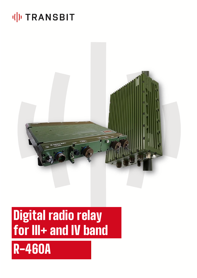## (I) TRANSBIT



# Digital radio relay for III+ and IV band